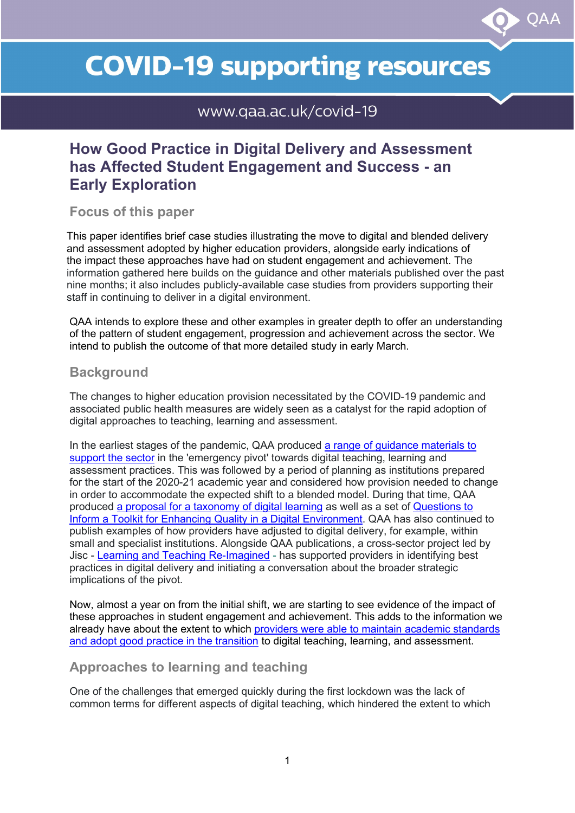# **COVID-19 supporting resources**

 $\mathsf{O}\mathsf{A}\mathsf{A}$ 

www.gaa.ac.uk/covid-19

# **How Good Practice in Digital Delivery and Assessment has Affected Student Engagement and Success - an Early Exploration**

**Focus of this paper**

This paper identifies brief case studies illustrating the move to digital and blended delivery and assessment adopted by higher education providers, alongside early indications of the impact these approaches have had on student engagement and achievement. The information gathered here builds on the guidance and other materials published over the past nine months; it also includes publicly-available case studies from providers supporting their staff in continuing to deliver in a digital environment.

QAA intends to explore these and other examples in greater depth to offer an understanding of the pattern of student engagement, progression and achievement across the sector. We intend to publish the outcome of that more detailed study in early March.

# **Background**

The changes to higher education provision necessitated by the COVID-19 pandemic and associated public health measures are widely seen as a catalyst for the rapid adoption of digital approaches to teaching, learning and assessment.

In the earliest stages of the pandemic, QAA produced a range of guidance materials to [support the sector](https://www.qaa.ac.uk/news-events/support-and-guidance-covid-19) in the 'emergency pivot' towards digital teaching, learning and assessment practices. This was followed by a period of planning as institutions prepared for the start of the 2020-21 academic year and considered how provision needed to change in order to accommodate the expected shift to a blended model. During that time, QAA produced [a proposal for a taxonomy of digital learning](https://www.qaa.ac.uk/docs/qaa/guidance/building-a-taxonomy-for-digital-learning.pdf) as well as a set of [Questions to](https://www.qaa.ac.uk/docs/qaa/guidance/questions-to-inform-a-toolkit-for-enhancing-quality-in-a-digital-environment.pdf?sfvrsn=4fabcf81_6)  [Inform a Toolkit for Enhancing Quality in a Digital Environment.](https://www.qaa.ac.uk/docs/qaa/guidance/questions-to-inform-a-toolkit-for-enhancing-quality-in-a-digital-environment.pdf?sfvrsn=4fabcf81_6) QAA has also continued to publish examples of how providers have adjusted to digital delivery, for example, within small and specialist institutions. Alongside QAA publications, a cross-sector project led by Jisc - [Learning and Teaching Re-Imagined](https://www.jisc.ac.uk/learning-and-teaching-reimagined) - has supported providers in identifying best practices in digital delivery and initiating a conversation about the broader strategic implications of the pivot.

Now, almost a year on from the initial shift, we are starting to see evidence of the impact of these approaches in student engagement and achievement. This adds to the information we already have about the extent to which [providers were able to maintain academic standards](https://www.qaa.ac.uk/docs/qaa/guidance/how-uk-higher-education-providers-managed-the-shift-to-digital-delivery-during-the-covid-19-pandemic.pdf?sfvrsn=33bdd081_8)  [and adopt good practice in the transition](https://www.qaa.ac.uk/docs/qaa/guidance/how-uk-higher-education-providers-managed-the-shift-to-digital-delivery-during-the-covid-19-pandemic.pdf?sfvrsn=33bdd081_8) to digital teaching, learning, and assessment.

# **Approaches to learning and teaching**

One of the challenges that emerged quickly during the first lockdown was the lack of common terms for different aspects of digital teaching, which hindered the extent to which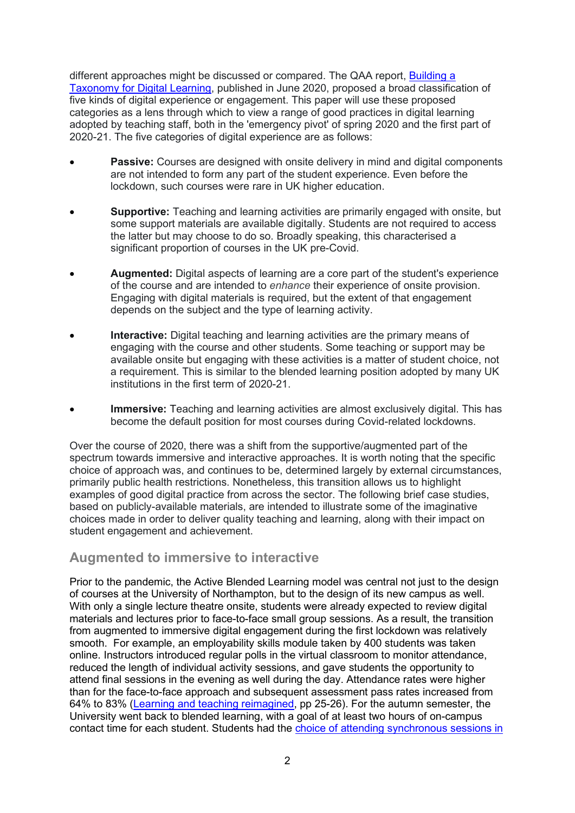different approaches might be discussed or compared. The QAA report, [Building a](https://www.qaa.ac.uk/docs/qaa/guidance/building-a-taxonomy-for-digital-learning.pdf)  [Taxonomy for Digital Learning,](https://www.qaa.ac.uk/docs/qaa/guidance/building-a-taxonomy-for-digital-learning.pdf) published in June 2020, proposed a broad classification of five kinds of digital experience or engagement. This paper will use these proposed categories as a lens through which to view a range of good practices in digital learning adopted by teaching staff, both in the 'emergency pivot' of spring 2020 and the first part of 2020-21. The five categories of digital experience are as follows:

- **Passive:** Courses are designed with onsite delivery in mind and digital components are not intended to form any part of the student experience. Even before the lockdown, such courses were rare in UK higher education.
- **Supportive:** Teaching and learning activities are primarily engaged with onsite, but some support materials are available digitally. Students are not required to access the latter but may choose to do so. Broadly speaking, this characterised a significant proportion of courses in the UK pre-Covid.
- **Augmented:** Digital aspects of learning are a core part of the student's experience of the course and are intended to *enhance* their experience of onsite provision. Engaging with digital materials is required, but the extent of that engagement depends on the subject and the type of learning activity.
- **Interactive:** Digital teaching and learning activities are the primary means of engaging with the course and other students. Some teaching or support may be available onsite but engaging with these activities is a matter of student choice, not a requirement. This is similar to the blended learning position adopted by many UK institutions in the first term of 2020-21.
- **Immersive:** Teaching and learning activities are almost exclusively digital. This has become the default position for most courses during Covid-related lockdowns.

Over the course of 2020, there was a shift from the supportive/augmented part of the spectrum towards immersive and interactive approaches. It is worth noting that the specific choice of approach was, and continues to be, determined largely by external circumstances, primarily public health restrictions. Nonetheless, this transition allows us to highlight examples of good digital practice from across the sector. The following brief case studies, based on publicly-available materials, are intended to illustrate some of the imaginative choices made in order to deliver quality teaching and learning, along with their impact on student engagement and achievement.

# **Augmented to immersive to interactive**

Prior to the pandemic, the Active Blended Learning model was central not just to the design of courses at the University of Northampton, but to the design of its new campus as well. With only a single lecture theatre onsite, students were already expected to review digital materials and lectures prior to face-to-face small group sessions. As a result, the transition from augmented to immersive digital engagement during the first lockdown was relatively smooth. For example, an employability skills module taken by 400 students was taken online. Instructors introduced regular polls in the virtual classroom to monitor attendance, reduced the length of individual activity sessions, and gave students the opportunity to attend final sessions in the evening as well during the day. Attendance rates were higher than for the face-to-face approach and subsequent assessment pass rates increased from 64% to 83% [\(Learning and teaching reimagined,](https://www.jisc.ac.uk/sites/default/files/ltr-report-change-and-challenge-for-students-staff-and-leaders-aug-2020.pdf) pp 25-26). For the autumn semester, the University went back to blended learning, with a goal of at least two hours of on-campus contact time for each student. Students had the [choice of attending synchronous sessions in](https://blogs.northampton.ac.uk/learntech/2020/10/14/student-reflections-on-hyflex/)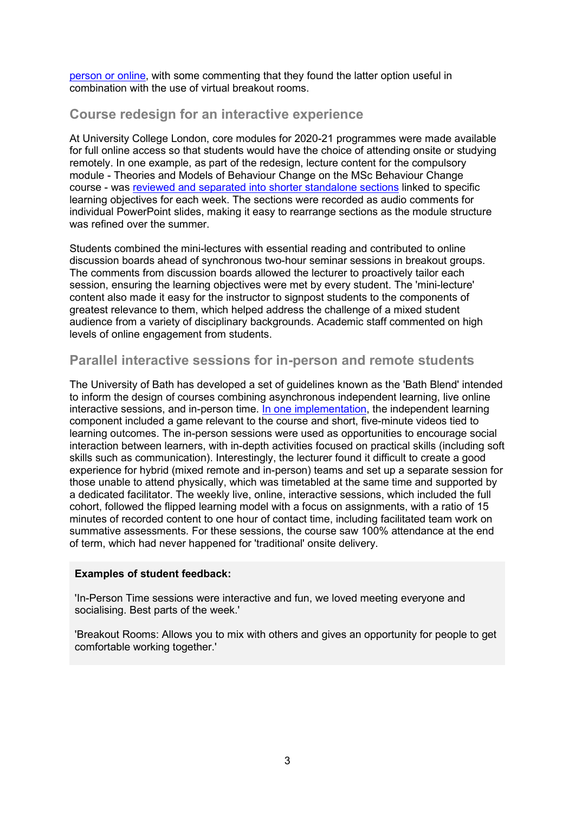[person or online,](https://blogs.northampton.ac.uk/learntech/2020/10/14/student-reflections-on-hyflex/) with some commenting that they found the latter option useful in combination with the use of virtual breakout rooms.

# **Course redesign for an interactive experience**

At University College London, core modules for 2020-21 programmes were made available for full online access so that students would have the choice of attending onsite or studying remotely. In one example, as part of the redesign, lecture content for the compulsory module - Theories and Models of Behaviour Change on the MSc Behaviour Change course - was [reviewed and separated into shorter standalone sections](https://www.ucl.ac.uk/teaching-learning/case-studies/2020/oct/chunking-lectures-shorter-meaningful-recordings-online-delivery) linked to specific learning objectives for each week. The sections were recorded as audio comments for individual PowerPoint slides, making it easy to rearrange sections as the module structure was refined over the summer.

Students combined the mini-lectures with essential reading and contributed to online discussion boards ahead of synchronous two-hour seminar sessions in breakout groups. The comments from discussion boards allowed the lecturer to proactively tailor each session, ensuring the learning objectives were met by every student. The 'mini-lecture' content also made it easy for the instructor to signpost students to the components of greatest relevance to them, which helped address the challenge of a mixed student audience from a variety of disciplinary backgrounds. Academic staff commented on high levels of online engagement from students.

## **Parallel interactive sessions for in-person and remote students**

The University of Bath has developed a set of guidelines known as the 'Bath Blend' intended to inform the design of courses combining asynchronous independent learning, live online interactive sessions, and in-person time. [In one implementation,](https://stevecayzer.com/2020/12/17/from-here-to-there-reflections-on-a-semester-of-the-bathblend/) the independent learning component included a game relevant to the course and short, five-minute videos tied to learning outcomes. The in-person sessions were used as opportunities to encourage social interaction between learners, with in-depth activities focused on practical skills (including soft skills such as communication). Interestingly, the lecturer found it difficult to create a good experience for hybrid (mixed remote and in-person) teams and set up a separate session for those unable to attend physically, which was timetabled at the same time and supported by a dedicated facilitator. The weekly live, online, interactive sessions, which included the full cohort, followed the flipped learning model with a focus on assignments, with a ratio of 15 minutes of recorded content to one hour of contact time, including facilitated team work on summative assessments. For these sessions, the course saw 100% attendance at the end of term, which had never happened for 'traditional' onsite delivery.

#### **Examples of student feedback:**

'In-Person Time sessions were interactive and fun, we loved meeting everyone and socialising. Best parts of the week.'

'Breakout Rooms: Allows you to mix with others and gives an opportunity for people to get comfortable working together.'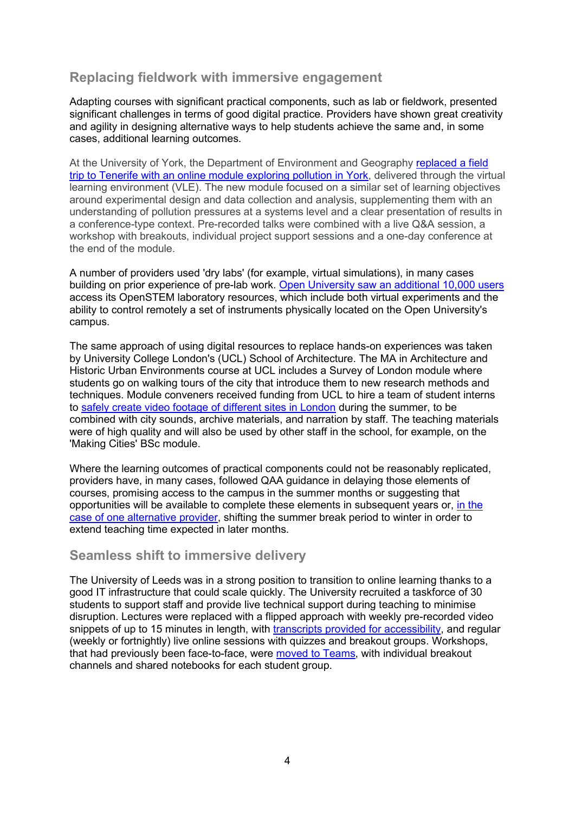# **Replacing fieldwork with immersive engagement**

Adapting courses with significant practical components, such as lab or fieldwork, presented significant challenges in terms of good digital practice. Providers have shown great creativity and agility in designing alternative ways to help students achieve the same and, in some cases, additional learning outcomes.

At the University of York, the Department of Environment and Geography [replaced a field](https://www.slideshare.net/RichardM_Walker/rethinking-teaching-practice-instructional-redesign-for-the-next-academic-year)  [trip to Tenerife with an online module exploring pollution in York,](https://www.slideshare.net/RichardM_Walker/rethinking-teaching-practice-instructional-redesign-for-the-next-academic-year) delivered through the virtual learning environment (VLE). The new module focused on a similar set of learning objectives around experimental design and data collection and analysis, supplementing them with an understanding of pollution pressures at a systems level and a clear presentation of results in a conference-type context. Pre-recorded talks were combined with a live Q&A session, a workshop with breakouts, individual project support sessions and a one-day conference at the end of the module.

A number of providers used 'dry labs' (for example, virtual simulations), in many cases building on prior experience of pre-lab work. [Open University saw an additional 10,000 users](https://altc.alt.ac.uk/summit2020/sessions/a-096/) access its OpenSTEM laboratory resources, which include both virtual experiments and the ability to control remotely a set of instruments physically located on the Open University's campus.

The same approach of using digital resources to replace hands-on experiences was taken by University College London's (UCL) School of Architecture. The MA in Architecture and Historic Urban Environments course at UCL includes a Survey of London module where students go on walking tours of the city that introduce them to new research methods and techniques. Module conveners received funding from UCL to hire a team of student interns to [safely create video footage of different sites in London](https://www.ucl.ac.uk/teaching-learning/case-studies/2020/oct/connected-learning-interns-collaborate-staff-move-london-based-module-online) during the summer, to be combined with city sounds, archive materials, and narration by staff. The teaching materials were of high quality and will also be used by other staff in the school, for example, on the 'Making Cities' BSc module.

Where the learning outcomes of practical components could not be reasonably replicated, providers have, in many cases, followed QAA guidance in delaying those elements of courses, promising access to the campus in the summer months or suggesting that opportunities will be available to complete these elements in subsequent years or, [in the](https://wonkhe.com/blogs/how-do-you-solve-a-problem-like-a-final-year-show/)  case of one [alternative provider,](https://wonkhe.com/blogs/how-do-you-solve-a-problem-like-a-final-year-show/) shifting the summer break period to winter in order to extend teaching time expected in later months.

## **Seamless shift to immersive delivery**

The University of Leeds was in a strong position to transition to online learning thanks to a good IT infrastructure that could scale quickly. The University recruited a taskforce of 30 students to support staff and provide live technical support during teaching to minimise disruption. Lectures were replaced with a flipped approach with weekly pre-recorded video snippets of up to 15 minutes in length, with [transcripts provided for accessibility,](https://digitalpractice.leeds.ac.uk/student-centred-learning-providing-a-clear-structure-and-weekly-learning-journey/) and regular (weekly or fortnightly) live online sessions with quizzes and breakout groups. Workshops, that had previously been face-to-face, were [moved to Teams,](https://digitalpractice.leeds.ac.uk/redesigning-modules-for-online-and-hybrid-teaching/) with individual breakout channels and shared notebooks for each student group.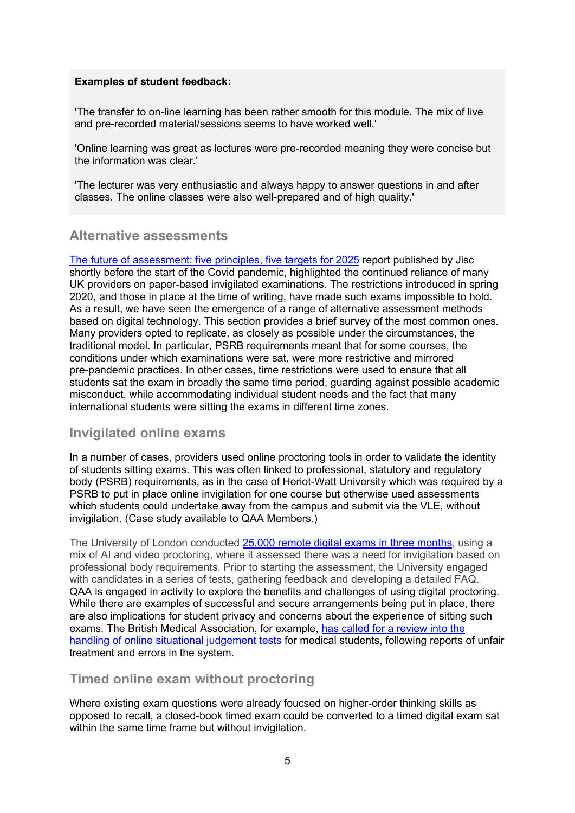#### **Examples of student feedback:**

'The transfer to on-line learning has been rather smooth for this module. The mix of live and pre-recorded material/sessions seems to have worked well.'

'Online learning was great as lectures were pre-recorded meaning they were concise but the information was clear.'

'The lecturer was very enthusiastic and always happy to answer questions in and after classes. The online classes were also well-prepared and of high quality.'

## **Alternative assessments**

[The future of assessment: five principles, five targets for 2025](https://www.jisc.ac.uk/reports/the-future-of-assessment) report published by Jisc shortly before the start of the Covid pandemic, highlighted the continued reliance of many UK providers on paper-based invigilated examinations. The restrictions introduced in spring 2020, and those in place at the time of writing, have made such exams impossible to hold. As a result, we have seen the emergence of a range of alternative assessment methods based on digital technology. This section provides a brief survey of the most common ones. Many providers opted to replicate, as closely as possible under the circumstances, the traditional model. In particular, PSRB requirements meant that for some courses, the conditions under which examinations were sat, were more restrictive and mirrored pre-pandemic practices. In other cases, time restrictions were used to ensure that all students sat the exam in broadly the same time period, guarding against possible academic misconduct, while accommodating individual student needs and the fact that many international students were sitting the exams in different time zones.

## **Invigilated online exams**

In a number of cases, providers used online proctoring tools in order to validate the identity of students sitting exams. This was often linked to professional, statutory and regulatory body (PSRB) requirements, as in the case of Heriot-Watt University which was required by a PSRB to put in place online invigilation for one course but otherwise used assessments which students could undertake away from the campus and submit via the VLE, without invigilation. (Case study available to QAA Members.)

The University of London conducted [25,000 remote digital exams in three months,](https://london.ac.uk/news-and-opinion/centre-distance-education/practising-putting-110000-examinations-online) using a mix of AI and video proctoring, where it assessed there was a need for invigilation based on professional body requirements. Prior to starting the assessment, the University engaged with candidates in a series of tests, gathering feedback and developing a detailed FAQ. QAA is engaged in activity to explore the benefits and challenges of using digital proctoring. While there are examples of successful and secure arrangements being put in place, there are also implications for student privacy and concerns about the experience of sitting such exams. The British Medical Association, for example, [has called for a review into the](https://www.bma.org.uk/news-and-opinion/call-for-review-into-sjts)  [handling of online situational judgement tests](https://www.bma.org.uk/news-and-opinion/call-for-review-into-sjts) for medical students, following reports of unfair treatment and errors in the system.

## **Timed online exam without proctoring**

Where existing exam questions were already foucsed on higher-order thinking skills as opposed to recall, a closed-book timed exam could be converted to a timed digital exam sat within the same time frame but without invigilation.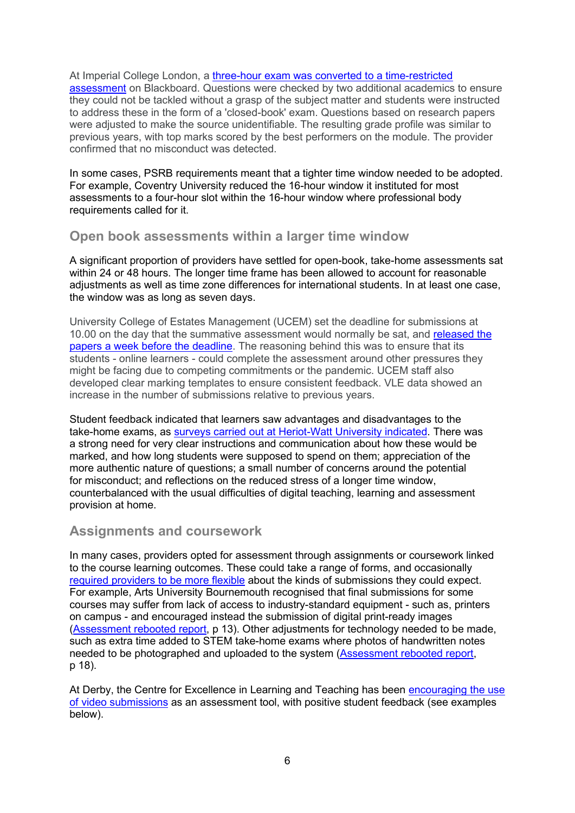At Imperial College London, a [three-hour exam was converted to a time-restricted](http://www.imperial.ac.uk/staff/educational-development/teaching-toolkit/remote-online-learning/case-studies/converting-face-to-face-exams-into-timed-remote-assessments-tras/)  [assessment](http://www.imperial.ac.uk/staff/educational-development/teaching-toolkit/remote-online-learning/case-studies/converting-face-to-face-exams-into-timed-remote-assessments-tras/) on Blackboard. Questions were checked by two additional academics to ensure they could not be tackled without a grasp of the subject matter and students were instructed to address these in the form of a 'closed-book' exam. Questions based on research papers were adjusted to make the source unidentifiable. The resulting grade profile was similar to previous years, with top marks scored by the best performers on the module. The provider confirmed that no misconduct was detected.

In some cases, PSRB requirements meant that a tighter time window needed to be adopted. For example, Coventry University reduced the 16-hour window it instituted for most assessments to a four-hour slot within the 16-hour window where professional body requirements called for it.

## **Open book assessments within a larger time window**

A significant proportion of providers have settled for open-book, take-home assessments sat within 24 or 48 hours. The longer time frame has been allowed to account for reasonable adjustments as well as time zone differences for international students. In at least one case, the window was as long as seven days.

University College of Estates Management (UCEM) set the deadline for submissions at 10.00 on the day that the summative assessment would normally be sat, and [released the](https://www.jisc.ac.uk/membership/stories/smooth-transition-for-students-taking-exams-at-home-06-aug-2020)  [papers a week before the deadline.](https://www.jisc.ac.uk/membership/stories/smooth-transition-for-students-taking-exams-at-home-06-aug-2020) The reasoning behind this was to ensure that its students - online learners - could complete the assessment around other pressures they might be facing due to competing commitments or the pandemic. UCEM staff also developed clear marking templates to ensure consistent feedback. VLE data showed an increase in the number of submissions relative to previous years.

Student feedback indicated that learners saw advantages and disadvantages to the take-home exams, as [surveys carried out at Heriot-Watt University indicated.](https://lta.hw.ac.uk/wp-content/uploads/THEs-The-student-perspective.pdf) There was a strong need for very clear instructions and communication about how these would be marked, and how long students were supposed to spend on them; appreciation of the more authentic nature of questions; a small number of concerns around the potential for misconduct; and reflections on the reduced stress of a longer time window, counterbalanced with the usual difficulties of digital teaching, learning and assessment provision at home.

## **Assignments and coursework**

In many cases, providers opted for assessment through assignments or coursework linked to the course learning outcomes. These could take a range of forms, and occasionally [required providers to be more flexible](https://www.jisc.ac.uk/reports/assessment-rebooted) about the kinds of submissions they could expect. For example, Arts University Bournemouth recognised that final submissions for some courses may suffer from lack of access to industry-standard equipment - such as, printers on campus - and encouraged instead the submission of digital print-ready images [\(Assessment rebooted report,](https://repository.jisc.ac.uk/7854/1/assessment-rebooted-report.pdf) p 13). Other adjustments for technology needed to be made, such as extra time added to STEM take-home exams where photos of handwritten notes needed to be photographed and uploaded to the system [\(Assessment rebooted report,](https://repository.jisc.ac.uk/7854/1/assessment-rebooted-report.pdf) p 18).

At Derby, the Centre for Excellence in Learning and Teaching has been encouraging the use [of video submissions](https://celt.wp.derby.ac.uk/using-video-within-your-student-assessments/) as an assessment tool, with positive student feedback (see examples below).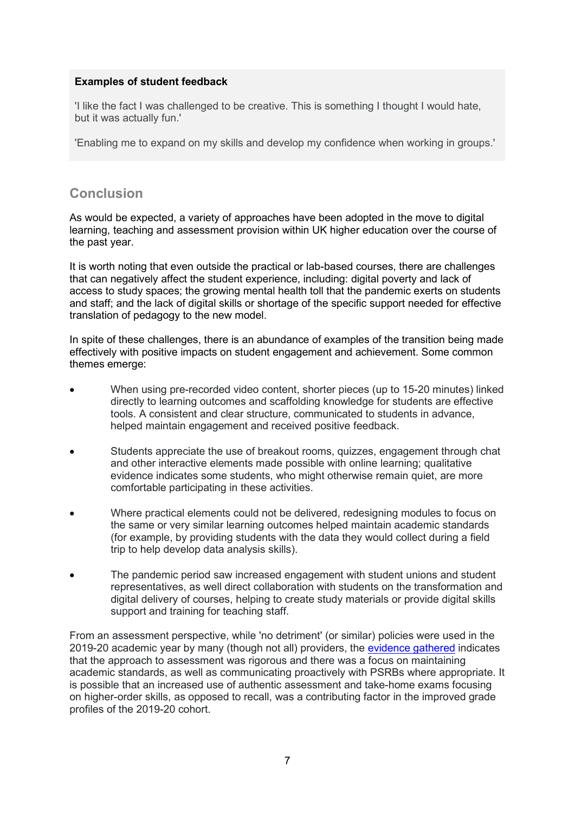#### **Examples of student feedback**

'I like the fact I was challenged to be creative. This is something I thought I would hate, but it was actually fun.'

'Enabling me to expand on my skills and develop my confidence when working in groups.'

# **Conclusion**

As would be expected, a variety of approaches have been adopted in the move to digital learning, teaching and assessment provision within UK higher education over the course of the past year.

It is worth noting that even outside the practical or lab-based courses, there are challenges that can negatively affect the student experience, including: digital poverty and lack of access to study spaces; the growing mental health toll that the pandemic exerts on students and staff; and the lack of digital skills or shortage of the specific support needed for effective translation of pedagogy to the new model.

In spite of these challenges, there is an abundance of examples of the transition being made effectively with positive impacts on student engagement and achievement. Some common themes emerge:

- When using pre-recorded video content, shorter pieces (up to 15-20 minutes) linked directly to learning outcomes and scaffolding knowledge for students are effective tools. A consistent and clear structure, communicated to students in advance, helped maintain engagement and received positive feedback.
- Students appreciate the use of breakout rooms, quizzes, engagement through chat and other interactive elements made possible with online learning; qualitative evidence indicates some students, who might otherwise remain quiet, are more comfortable participating in these activities.
- Where practical elements could not be delivered, redesigning modules to focus on the same or very similar learning outcomes helped maintain academic standards (for example, by providing students with the data they would collect during a field trip to help develop data analysis skills).
- The pandemic period saw increased engagement with student unions and student representatives, as well direct collaboration with students on the transformation and digital delivery of courses, helping to create study materials or provide digital skills support and training for teaching staff.

From an assessment perspective, while 'no detriment' (or similar) policies were used in the 2019-20 academic year by many (though not all) providers, the [evidence gathered](https://www.qaa.ac.uk/docs/qaa/guidance/how-uk-higher-education-providers-managed-the-shift-to-digital-delivery-during-the-covid-19-pandemic.pdf?sfvrsn=33bdd081_8) indicates that the approach to assessment was rigorous and there was a focus on maintaining academic standards, as well as communicating proactively with PSRBs where appropriate. It is possible that an increased use of authentic assessment and take-home exams focusing on higher-order skills, as opposed to recall, was a contributing factor in the improved grade profiles of the 2019-20 cohort.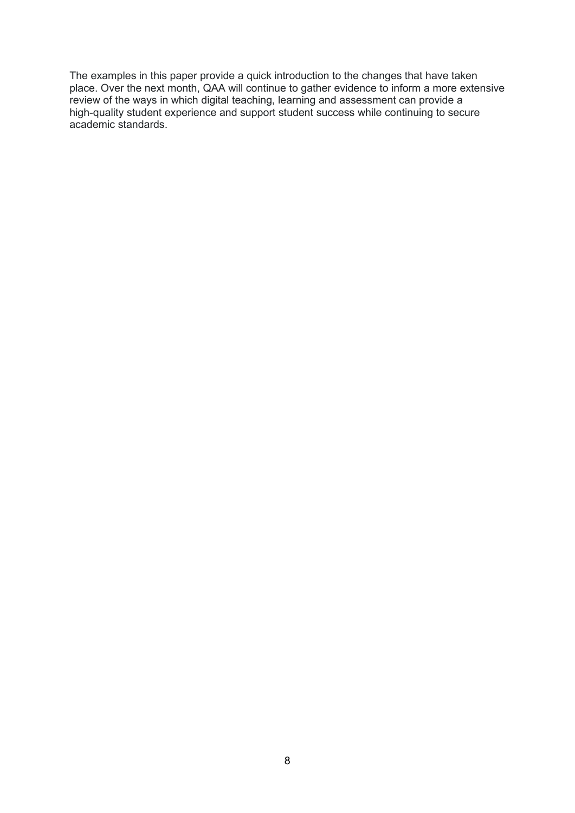The examples in this paper provide a quick introduction to the changes that have taken place. Over the next month, QAA will continue to gather evidence to inform a more extensive review of the ways in which digital teaching, learning and assessment can provide a high-quality student experience and support student success while continuing to secure academic standards.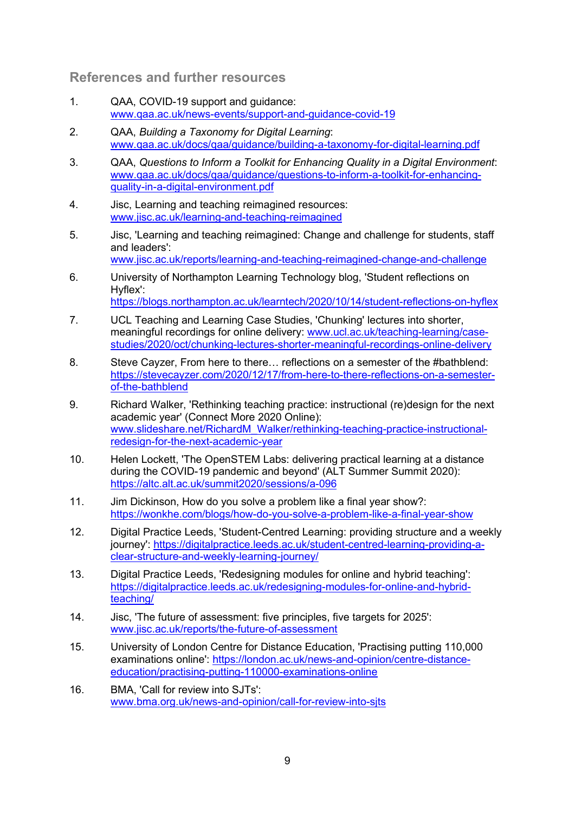# **References and further resources**

- 1. QAA, COVID-19 support and guidance: [www.qaa.ac.uk/news-events/support-and-guidance-covid-19](http://www.qaa.ac.uk/news-events/support-and-guidance-covid-19)
- 2. QAA, *Building a Taxonomy for Digital Learning*: [www.qaa.ac.uk/docs/qaa/guidance/building-a-taxonomy-for-digital-learning.pdf](https://www.qaa.ac.uk/docs/qaa/guidance/building-a-taxonomy-for-digital-learning.pdf)
- 3. QAA, *Questions to Inform a Toolkit for Enhancing Quality in a Digital Environment*: [www.qaa.ac.uk/docs/qaa/guidance/questions-to-inform-a-toolkit-for-enhancing](https://www.qaa.ac.uk/docs/qaa/guidance/questions-to-inform-a-toolkit-for-enhancing-quality-in-a-digital-environment.pdf)[quality-in-a-digital-environment.pdf](https://www.qaa.ac.uk/docs/qaa/guidance/questions-to-inform-a-toolkit-for-enhancing-quality-in-a-digital-environment.pdf)
- 4. Jisc, Learning and teaching reimagined resources: [www.jisc.ac.uk/learning-and-teaching-reimagined](http://www.jisc.ac.uk/learning-and-teaching-reimagined)
- 5. Jisc, 'Learning and teaching reimagined: Change and challenge for students, staff and leaders': [www.jisc.ac.uk/reports/learning-and-teaching-reimagined-change-and-challenge](http://www.jisc.ac.uk/reports/learning-and-teaching-reimagined-change-and-challenge)
- 6. University of Northampton Learning Technology blog, 'Student reflections on Hyflex':

<https://blogs.northampton.ac.uk/learntech/2020/10/14/student-reflections-on-hyflex>

- 7. UCL Teaching and Learning Case Studies, 'Chunking' lectures into shorter, meaningful recordings for online delivery: [www.ucl.ac.uk/teaching-learning/case](https://www.ucl.ac.uk/teaching-learning/case-studies/2020/oct/chunking-lectures-shorter-meaningful-recordings-online-delivery)[studies/2020/oct/chunking-lectures-shorter-meaningful-recordings-online-delivery](https://www.ucl.ac.uk/teaching-learning/case-studies/2020/oct/chunking-lectures-shorter-meaningful-recordings-online-delivery)
- 8. Steve Cayzer, From here to there… reflections on a semester of the #bathblend: [https://stevecayzer.com/2020/12/17/from-here-to-there-reflections-on-a-semester](https://stevecayzer.com/2020/12/17/from-here-to-there-reflections-on-a-semester-of-the-bathblend/)[of-the-bathblend](https://stevecayzer.com/2020/12/17/from-here-to-there-reflections-on-a-semester-of-the-bathblend/)
- 9. Richard Walker, 'Rethinking teaching practice: instructional (re)design for the next academic year' (Connect More 2020 Online): [www.slideshare.net/RichardM\\_Walker/rethinking-teaching-practice-instructional](https://www.slideshare.net/RichardM_Walker/rethinking-teaching-practice-instructional-redesign-for-the-next-academic-year)[redesign-for-the-next-academic-year](https://www.slideshare.net/RichardM_Walker/rethinking-teaching-practice-instructional-redesign-for-the-next-academic-year)
- 10. Helen Lockett, 'The OpenSTEM Labs: delivering practical learning at a distance during the COVID-19 pandemic and beyond' (ALT Summer Summit 2020): [https://altc.alt.ac.uk/summit2020/sessions/a-096](https://altc.alt.ac.uk/summit2020/sessions/a-096/)
- 11. Jim Dickinson, How do you solve a problem like a final year show?: [https://wonkhe.com/blogs/how-do-you-solve-a-problem-like-a-final-year-show](https://wonkhe.com/blogs/how-do-you-solve-a-problem-like-a-final-year-show/)
- 12. Digital Practice Leeds, 'Student-Centred Learning: providing structure and a weekly journey': [https://digitalpractice.leeds.ac.uk/student-centred-learning-providing-a](https://digitalpractice.leeds.ac.uk/student-centred-learning-providing-a-clear-structure-and-weekly-learning-journey/)[clear-structure-and-weekly-learning-journey/](https://digitalpractice.leeds.ac.uk/student-centred-learning-providing-a-clear-structure-and-weekly-learning-journey/)
- 13. Digital Practice Leeds, 'Redesigning modules for online and hybrid teaching': [https://digitalpractice.leeds.ac.uk/redesigning-modules-for-online-and-hybrid](https://digitalpractice.leeds.ac.uk/redesigning-modules-for-online-and-hybrid-teaching/)[teaching/](https://digitalpractice.leeds.ac.uk/redesigning-modules-for-online-and-hybrid-teaching/)
- 14. Jisc, 'The future of assessment: five principles, five targets for 2025': [www.jisc.ac.uk/reports/the-future-of-assessment](https://www.jisc.ac.uk/reports/the-future-of-assessment)
- 15. University of London Centre for Distance Education, 'Practising putting 110,000 examinations online': [https://london.ac.uk/news-and-opinion/centre-distance](https://london.ac.uk/news-and-opinion/centre-distance-education/practising-putting-110000-examinations-online)[education/practising-putting-110000-examinations-online](https://london.ac.uk/news-and-opinion/centre-distance-education/practising-putting-110000-examinations-online)
- 16. BMA, 'Call for review into SJTs': [www.bma.org.uk/news-and-opinion/call-for-review-into-sjts](http://www.bma.org.uk/news-and-opinion/call-for-review-into-sjts)